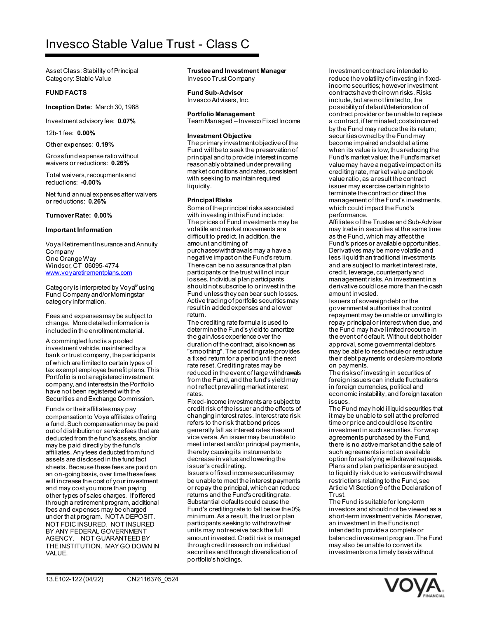# Invesco Stable Value Trust - Class C

Asset Class: Stability of Principal Category: Stable Value

## **FUND FACTS**

**Inception Date:** March 30, 1988

Investment advisory fee: **0.07%**

12b-1 fee: **0.00%**

Other expenses: **0.19%**

Gross fund expense ratio without waivers or reductions: **0.26%**

Total waivers, recoupments and reductions: **-0.00%**

Net fund annual expenses after waivers or reductions: **0.26%**

## **Turnover Rate: 0.00%**

#### **Important Information**

Voya Retirement Insurance and Annuity Company One Orange Way Windsor, CT 06095-4774 [www.voyaretirementplans.com](http://www.voyaretirementplans.com/)

Category is interpreted by Voya® using Fund Company and/or Morningstar category information.

Fees and expenses may be subject to change. More detailed information is included in the enrollment material.

A commingled fund is a pooled investment vehicle, maintained by a bank or trust company, the participants of which are limited to certain types of tax exempt employee benefit plans. This Portfolio is not a registered investment company, and interests in the Portfolio have not been registered with the Securities and Exchange Commission.

Funds or their affiliates may pay compensation to Voya affiliates offering a fund. Such compensation may be paid out of distribution or service fees that are deducted from the fund's assets, and/or may be paid directly by the fund's affiliates. Any fees deducted from fund assets are disclosed in the fund fact sheets. Because these fees are paid on an on-going basis, over time these fees will increase the cost of your investment and may cost you more than paying other types of sales charges. If offered through a retirement program, additional fees and expenses may be charged under that program. NOT A DEPOSIT. NOT FDIC INSURED. NOT INSURED BY ANY FEDERAL GOVERNMENT AGENCY. NOT GUARANTEED BY THE INSTITUTION. MAY GO DOWN IN VALUE.

**Trustee and Investment Manager** Invesco Trust Company

**Fund Sub-Advisor** Invesco Advisers, Inc.

**Portfolio Management** Team Managed – Invesco Fixed Income

#### **Investment Objective**

The primary investment objective of the Fund will be to seek the preservation of principal and to provide interest income reasonably obtained under prevailing market conditions and rates, consistent with seeking to maintain required liquidity.

## **Principal Risks**

Some of the principal risks associated with investing in this Fund include: The prices of Fund investments may be volatile and market movements are difficult to predict. In addition, the amount and timing of purchases/withdrawals may a have a negative impact on the Fund's return. There can be no assurance that plan participants or the trust will not incur losses. Individual plan participants should not subscribe to or invest in the Fund unless they can bear such losses. Active trading of portfolio securities may result in added expenses and a lower return.

The crediting rate formula is used to determine the Fund's yield to amortize the gain/loss experience over the duration of the contract, also known as "smoothing". The crediting rate provides a fixed return for a period until the next rate reset. Crediting rates may be reduced in the event of large withdrawals from the Fund, and the fund's yield may not reflect prevailing market interest rates.

Fixed-income investments are subject to credit risk of the issuer and the effects of changing interest rates. Interest rate risk refers to the risk that bond prices generally fall as interest rates rise and vice versa. An issuer may be unable to meet interest and/or principal payments, thereby causing its instruments to decrease in value and lowering the issuer's credit rating.

Issuers of fixed income securities may be unable to meet the interest payments or repay the principal, which can reduce returns and the Fund's crediting rate. Substantial defaults could cause the Fund's crediting rate to fall below the 0% minimum. As a result, the trust or plan participants seeking to withdraw their units may notreceive back the full amount invested. Credit risk is managed through credit research on individual securities and through diversification of portfolio's holdings.

Investment contract are intended to reduce the volatility of investing in fixedincome securities; however investment contracts have their own risks. Risks include, but are not limited to, the possibility of default/deterioration of contract provider or be unable to replace a contract, if terminated; costs incurred by the Fund may reduce the its retum; securities owned by the Fund may become impaired and sold at a time when its value is low, thus reducing the Fund's market value; the Fund's market value may have a negative impact on its crediting rate, market value and book value ratio, as a result the contract issuer may exercise certain rights to terminate the contract or direct the management of the Fund's investments, which could impact the Fund's performance.

Affiliates of the Trustee and Sub-Adviser may trade in securities at the same time as the Fund, which may affect the Fund's prices or available opportunities. Derivatives may be more volatile and less liquid than traditional investments and are subject to market interest rate, credit, leverage, counterparty and management risks. An investment in a derivative could lose more than the cash amount invested.

Issuers of sovereign debt or the governmental authorities that control repayment may be unable or unwilling to repay principal or interest when due, and the Fund may have limited recourse in the event of default. Without debt holder approval, some governmental debtors may be able to reschedule or restructure their debt payments or declare moratoria on payments.

The risks of investing in securities of foreign issuers can include fluctuations in foreign currencies, political and economic instability, and foreign taxation **issues** 

The Fund may hold illiquid securities that it may be unable to sell at the preferred time or price and could lose its entire investment in such securities. For wrap agreements purchased by the Fund, there is no active market and the sale of such agreements is not an available option for satisfying withdrawal requests. Plans and plan participants are subject to liquidity risk due to various withdrawal restrictions relating to the Fund, see Article VI Section 9 of the Declaration of Trust.

The Fund is suitable for long-term investors and should not be viewed as a short-term investment vehicle. Moreover, an investment in the Fund is not intended to provide a complete or balanced investment program. The Fund may also be unable to convert its investments on a timely basis without